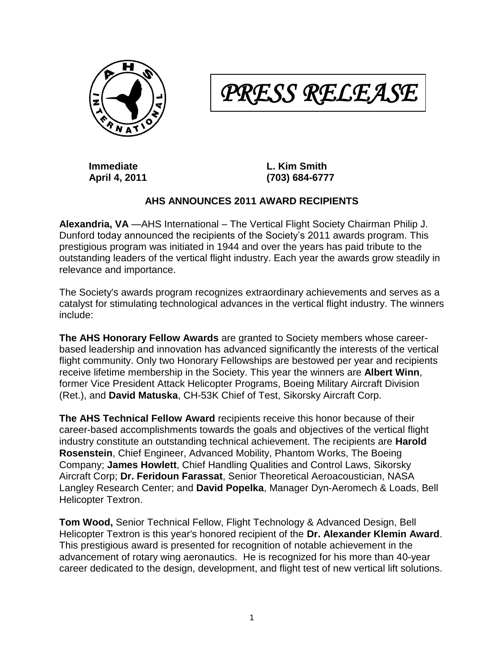

*PRESS RELEASE* 

**Immediate L. Kim Smith April 4, 2011 (703) 684-6777**

## **AHS ANNOUNCES 2011 AWARD RECIPIENTS**

**Alexandria, VA** —AHS International – The Vertical Flight Society Chairman Philip J. Dunford today announced the recipients of the Society's 2011 awards program. This prestigious program was initiated in 1944 and over the years has paid tribute to the outstanding leaders of the vertical flight industry. Each year the awards grow steadily in relevance and importance.

The Society's awards program recognizes extraordinary achievements and serves as a catalyst for stimulating technological advances in the vertical flight industry. The winners include:

**The AHS Honorary Fellow Awards** are granted to Society members whose careerbased leadership and innovation has advanced significantly the interests of the vertical flight community. Only two Honorary Fellowships are bestowed per year and recipients receive lifetime membership in the Society. This year the winners are **Albert Winn**, former Vice President Attack Helicopter Programs, Boeing Military Aircraft Division (Ret.), and **David Matuska**, CH-53K Chief of Test, Sikorsky Aircraft Corp.

**The AHS Technical Fellow Award** recipients receive this honor because of their career-based accomplishments towards the goals and objectives of the vertical flight industry constitute an outstanding technical achievement. The recipients are **Harold Rosenstein**, Chief Engineer, Advanced Mobility, Phantom Works, The Boeing Company; **James Howlett**, Chief Handling Qualities and Control Laws, Sikorsky Aircraft Corp; **Dr. Feridoun Farassat**, Senior Theoretical Aeroacoustician, NASA Langley Research Center; and **David Popelka**, Manager Dyn-Aeromech & Loads, Bell Helicopter Textron.

**Tom Wood,** Senior Technical Fellow, Flight Technology & Advanced Design, Bell Helicopter Textron is this year's honored recipient of the **Dr. Alexander Klemin Award**. This prestigious award is presented for recognition of notable achievement in the advancement of rotary wing aeronautics. He is recognized for his more than 40-year career dedicated to the design, development, and flight test of new vertical lift solutions.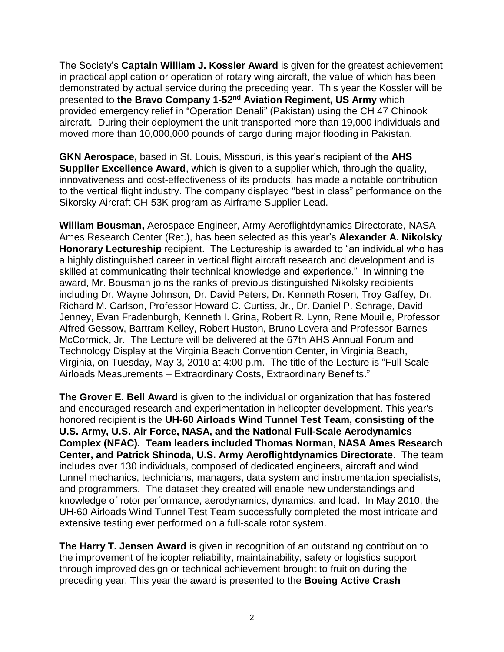The Society's **Captain William J. Kossler Award** is given for the greatest achievement in practical application or operation of rotary wing aircraft, the value of which has been demonstrated by actual service during the preceding year. This year the Kossler will be presented to **the Bravo Company 1-52nd Aviation Regiment, US Army** which provided emergency relief in "Operation Denali" (Pakistan) using the CH 47 Chinook aircraft. During their deployment the unit transported more than 19,000 individuals and moved more than 10,000,000 pounds of cargo during major flooding in Pakistan.

**GKN Aerospace,** based in St. Louis, Missouri, is this year's recipient of the **AHS Supplier Excellence Award**, which is given to a supplier which, through the quality, innovativeness and cost-effectiveness of its products, has made a notable contribution to the vertical flight industry. The company displayed "best in class" performance on the Sikorsky Aircraft CH-53K program as Airframe Supplier Lead.

**William Bousman,** Aerospace Engineer, Army Aeroflightdynamics Directorate, NASA Ames Research Center (Ret.), has been selected as this year's **Alexander A. Nikolsky Honorary Lectureship** recipient. The Lectureship is awarded to "an individual who has a highly distinguished career in vertical flight aircraft research and development and is skilled at communicating their technical knowledge and experience." In winning the award, Mr. Bousman joins the ranks of previous distinguished Nikolsky recipients including Dr. Wayne Johnson, Dr. David Peters, Dr. Kenneth Rosen, Troy Gaffey, Dr. Richard M. Carlson, Professor Howard C. Curtiss, Jr., Dr. Daniel P. Schrage, David Jenney, Evan Fradenburgh, Kenneth I. Grina, Robert R. Lynn, Rene Mouille, Professor Alfred Gessow, Bartram Kelley, Robert Huston, Bruno Lovera and Professor Barnes McCormick, Jr. The Lecture will be delivered at the 67th AHS Annual Forum and Technology Display at the Virginia Beach Convention Center, in Virginia Beach, Virginia, on Tuesday, May 3, 2010 at 4:00 p.m. The title of the Lecture is "Full-Scale Airloads Measurements – Extraordinary Costs, Extraordinary Benefits."

**The Grover E. Bell Award** is given to the individual or organization that has fostered and encouraged research and experimentation in helicopter development. This year's honored recipient is the **UH-60 Airloads Wind Tunnel Test Team, consisting of the U.S. Army, U.S. Air Force, NASA, and the National Full-Scale Aerodynamics Complex (NFAC). Team leaders included Thomas Norman, NASA Ames Research Center, and Patrick Shinoda, U.S. Army Aeroflightdynamics Directorate**. The team includes over 130 individuals, composed of dedicated engineers, aircraft and wind tunnel mechanics, technicians, managers, data system and instrumentation specialists, and programmers. The dataset they created will enable new understandings and knowledge of rotor performance, aerodynamics, dynamics, and load. In May 2010, the UH-60 Airloads Wind Tunnel Test Team successfully completed the most intricate and extensive testing ever performed on a full-scale rotor system.

**The Harry T. Jensen Award** is given in recognition of an outstanding contribution to the improvement of helicopter reliability, maintainability, safety or logistics support through improved design or technical achievement brought to fruition during the preceding year. This year the award is presented to the **Boeing Active Crash**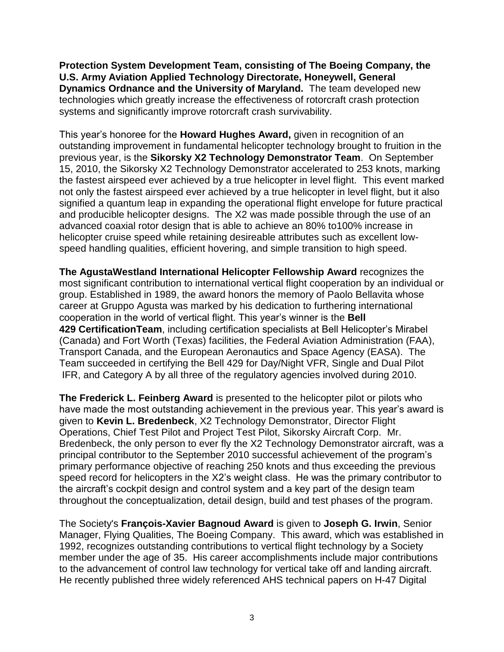**Protection System Development Team, consisting of The Boeing Company, the U.S. Army Aviation Applied Technology Directorate, Honeywell, General Dynamics Ordnance and the University of Maryland.** The team developed new technologies which greatly increase the effectiveness of rotorcraft crash protection systems and significantly improve rotorcraft crash survivability.

This year's honoree for the **Howard Hughes Award,** given in recognition of an outstanding improvement in fundamental helicopter technology brought to fruition in the previous year, is the **Sikorsky X2 Technology Demonstrator Team**. On September 15, 2010, the Sikorsky X2 Technology Demonstrator accelerated to 253 knots, marking the fastest airspeed ever achieved by a true helicopter in level flight. This event marked not only the fastest airspeed ever achieved by a true helicopter in level flight, but it also signified a quantum leap in expanding the operational flight envelope for future practical and producible helicopter designs. The X2 was made possible through the use of an advanced coaxial rotor design that is able to achieve an 80% to100% increase in helicopter cruise speed while retaining desireable attributes such as excellent lowspeed handling qualities, efficient hovering, and simple transition to high speed.

**The AgustaWestland International Helicopter Fellowship Award** recognizes the most significant contribution to international vertical flight cooperation by an individual or group. Established in 1989, the award honors the memory of Paolo Bellavita whose career at Gruppo Agusta was marked by his dedication to furthering international cooperation in the world of vertical flight. This year's winner is the **Bell 429 CertificationTeam**, including certification specialists at Bell Helicopter's Mirabel (Canada) and Fort Worth (Texas) facilities, the Federal Aviation Administration (FAA), Transport Canada, and the European Aeronautics and Space Agency (EASA). The Team succeeded in certifying the Bell 429 for Day/Night VFR, Single and Dual Pilot IFR, and Category A by all three of the regulatory agencies involved during 2010.

**The Frederick L. Feinberg Award** is presented to the helicopter pilot or pilots who have made the most outstanding achievement in the previous year. This year's award is given to **Kevin L. Bredenbeck**, X2 Technology Demonstrator, Director Flight Operations, Chief Test Pilot and Project Test Pilot, Sikorsky Aircraft Corp. Mr. Bredenbeck, the only person to ever fly the X2 Technology Demonstrator aircraft, was a principal contributor to the September 2010 successful achievement of the program's primary performance objective of reaching 250 knots and thus exceeding the previous speed record for helicopters in the X2's weight class. He was the primary contributor to the aircraft's cockpit design and control system and a key part of the design team throughout the conceptualization, detail design, build and test phases of the program.

The Society's **François-Xavier Bagnoud Award** is given to **Joseph G. Irwin**, Senior Manager, Flying Qualities, The Boeing Company.This award, which was established in 1992, recognizes outstanding contributions to vertical flight technology by a Society member under the age of 35. His career accomplishments include major contributions to the advancement of control law technology for vertical take off and landing aircraft. He recently published three widely referenced AHS technical papers on H-47 Digital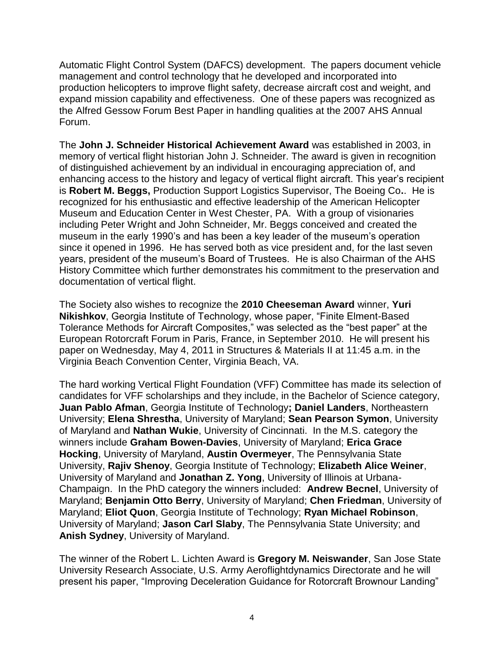Automatic Flight Control System (DAFCS) development. The papers document vehicle management and control technology that he developed and incorporated into production helicopters to improve flight safety, decrease aircraft cost and weight, and expand mission capability and effectiveness. One of these papers was recognized as the Alfred Gessow Forum Best Paper in handling qualities at the 2007 AHS Annual Forum.

The **John J. Schneider Historical Achievement Award** was established in 2003, in memory of vertical flight historian John J. Schneider. The award is given in recognition of distinguished achievement by an individual in encouraging appreciation of, and enhancing access to the history and legacy of vertical flight aircraft. This year's recipient is **Robert M. Beggs,** Production Support Logistics Supervisor, The Boeing Co**.**. He is recognized for his enthusiastic and effective leadership of the American Helicopter Museum and Education Center in West Chester, PA. With a group of visionaries including Peter Wright and John Schneider, Mr. Beggs conceived and created the museum in the early 1990's and has been a key leader of the museum's operation since it opened in 1996. He has served both as vice president and, for the last seven years, president of the museum's Board of Trustees. He is also Chairman of the AHS History Committee which further demonstrates his commitment to the preservation and documentation of vertical flight.

The Society also wishes to recognize the **2010 Cheeseman Award** winner, **Yuri Nikishkov**, Georgia Institute of Technology, whose paper, "Finite Elment-Based Tolerance Methods for Aircraft Composites," was selected as the "best paper" at the European Rotorcraft Forum in Paris, France, in September 2010. He will present his paper on Wednesday, May 4, 2011 in Structures & Materials II at 11:45 a.m. in the Virginia Beach Convention Center, Virginia Beach, VA.

The hard working Vertical Flight Foundation (VFF) Committee has made its selection of candidates for VFF scholarships and they include, in the Bachelor of Science category, **Juan Pablo Afman**, Georgia Institute of Technology**; Daniel Landers**, Northeastern University; **Elena Shrestha**, University of Maryland; **Sean Pearson Symon**, University of Maryland and **Nathan Wukie**, University of Cincinnati. In the M.S. category the winners include **Graham Bowen-Davies**, University of Maryland; **Erica Grace Hocking**, University of Maryland, **Austin Overmeyer**, The Pennsylvania State University, **Rajiv Shenoy**, Georgia Institute of Technology; **Elizabeth Alice Weiner**, University of Maryland and **Jonathan Z. Yong**, University of Illinois at Urbana-Champaign. In the PhD category the winners included: **Andrew Becnel**, University of Maryland; **Benjamin Otto Berry**, University of Maryland; **Chen Friedman**, University of Maryland; **Eliot Quon**, Georgia Institute of Technology; **Ryan Michael Robinson**, University of Maryland; **Jason Carl Slaby**, The Pennsylvania State University; and **Anish Sydney**, University of Maryland.

The winner of the Robert L. Lichten Award is **Gregory M. Neiswander**, San Jose State University Research Associate, U.S. Army Aeroflightdynamics Directorate and he will present his paper, "Improving Deceleration Guidance for Rotorcraft Brownour Landing"